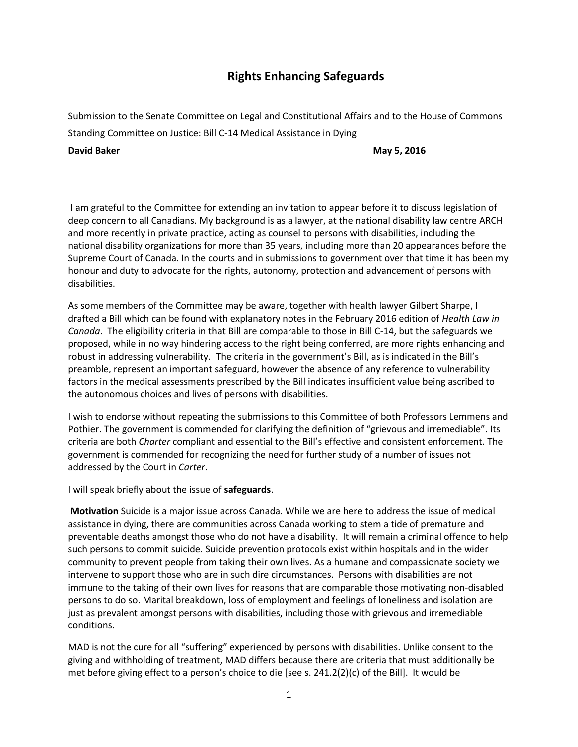## **Rights Enhancing Safeguards**

Submission to the Senate Committee on Legal and Constitutional Affairs and to the House of Commons Standing Committee on Justice: Bill C-14 Medical Assistance in Dying

**David Baker May 5, 2016 May 5, 2016** 

 I am grateful to the Committee for extending an invitation to appear before it to discuss legislation of deep concern to all Canadians. My background is as a lawyer, at the national disability law centre ARCH and more recently in private practice, acting as counsel to persons with disabilities, including the national disability organizations for more than 35 years, including more than 20 appearances before the Supreme Court of Canada. In the courts and in submissions to government over that time it has been my honour and duty to advocate for the rights, autonomy, protection and advancement of persons with disabilities.

As some members of the Committee may be aware, together with health lawyer Gilbert Sharpe, I drafted a Bill which can be found with explanatory notes in the February 2016 edition of *Health Law in Canada*. The eligibility criteria in that Bill are comparable to those in Bill C-14, but the safeguards we proposed, while in no way hindering access to the right being conferred, are more rights enhancing and robust in addressing vulnerability. The criteria in the government's Bill, as is indicated in the Bill's preamble, represent an important safeguard, however the absence of any reference to vulnerability factors in the medical assessments prescribed by the Bill indicates insufficient value being ascribed to the autonomous choices and lives of persons with disabilities.

I wish to endorse without repeating the submissions to this Committee of both Professors Lemmens and Pothier. The government is commended for clarifying the definition of "grievous and irremediable". Its criteria are both *Charter* compliant and essential to the Bill's effective and consistent enforcement. The government is commended for recognizing the need for further study of a number of issues not addressed by the Court in *Carter*.

I will speak briefly about the issue of **safeguards**.

**Motivation** Suicide is a major issue across Canada. While we are here to address the issue of medical assistance in dying, there are communities across Canada working to stem a tide of premature and preventable deaths amongst those who do not have a disability. It will remain a criminal offence to help such persons to commit suicide. Suicide prevention protocols exist within hospitals and in the wider community to prevent people from taking their own lives. As a humane and compassionate society we intervene to support those who are in such dire circumstances. Persons with disabilities are not immune to the taking of their own lives for reasons that are comparable those motivating non-disabled persons to do so. Marital breakdown, loss of employment and feelings of loneliness and isolation are just as prevalent amongst persons with disabilities, including those with grievous and irremediable conditions.

MAD is not the cure for all "suffering" experienced by persons with disabilities. Unlike consent to the giving and withholding of treatment, MAD differs because there are criteria that must additionally be met before giving effect to a person's choice to die [see s. 241.2(2)(c) of the Bill]. It would be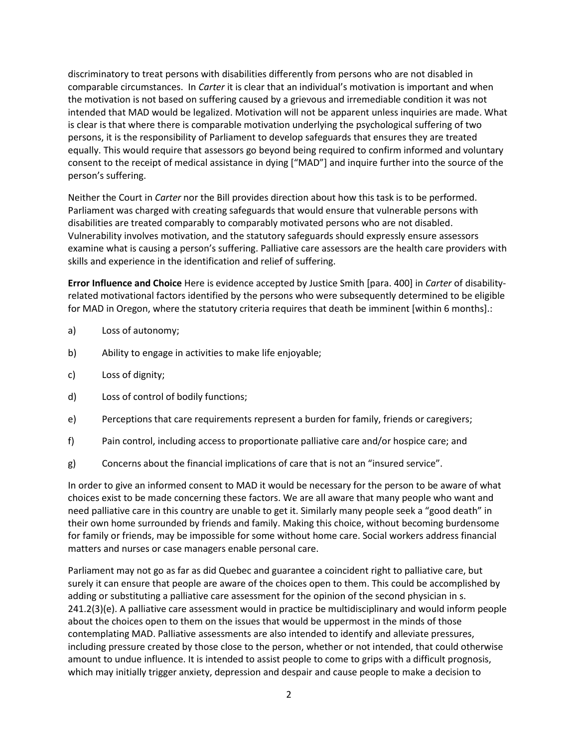discriminatory to treat persons with disabilities differently from persons who are not disabled in comparable circumstances. In *Carter* it is clear that an individual's motivation is important and when the motivation is not based on suffering caused by a grievous and irremediable condition it was not intended that MAD would be legalized. Motivation will not be apparent unless inquiries are made. What is clear is that where there is comparable motivation underlying the psychological suffering of two persons, it is the responsibility of Parliament to develop safeguards that ensures they are treated equally. This would require that assessors go beyond being required to confirm informed and voluntary consent to the receipt of medical assistance in dying ["MAD"] and inquire further into the source of the person's suffering.

Neither the Court in *Carter* nor the Bill provides direction about how this task is to be performed. Parliament was charged with creating safeguards that would ensure that vulnerable persons with disabilities are treated comparably to comparably motivated persons who are not disabled. Vulnerability involves motivation, and the statutory safeguards should expressly ensure assessors examine what is causing a person's suffering. Palliative care assessors are the health care providers with skills and experience in the identification and relief of suffering.

**Error Influence and Choice** Here is evidence accepted by Justice Smith [para. 400] in *Carter* of disabilityrelated motivational factors identified by the persons who were subsequently determined to be eligible for MAD in Oregon, where the statutory criteria requires that death be imminent [within 6 months].:

- a) Loss of autonomy;
- b) Ability to engage in activities to make life enjoyable;
- c) Loss of dignity;
- d) Loss of control of bodily functions;
- e) Perceptions that care requirements represent a burden for family, friends or caregivers;
- f) Pain control, including access to proportionate palliative care and/or hospice care; and
- g) Concerns about the financial implications of care that is not an "insured service".

In order to give an informed consent to MAD it would be necessary for the person to be aware of what choices exist to be made concerning these factors. We are all aware that many people who want and need palliative care in this country are unable to get it. Similarly many people seek a "good death" in their own home surrounded by friends and family. Making this choice, without becoming burdensome for family or friends, may be impossible for some without home care. Social workers address financial matters and nurses or case managers enable personal care.

Parliament may not go as far as did Quebec and guarantee a coincident right to palliative care, but surely it can ensure that people are aware of the choices open to them. This could be accomplished by adding or substituting a palliative care assessment for the opinion of the second physician in s. 241.2(3)(e). A palliative care assessment would in practice be multidisciplinary and would inform people about the choices open to them on the issues that would be uppermost in the minds of those contemplating MAD. Palliative assessments are also intended to identify and alleviate pressures, including pressure created by those close to the person, whether or not intended, that could otherwise amount to undue influence. It is intended to assist people to come to grips with a difficult prognosis, which may initially trigger anxiety, depression and despair and cause people to make a decision to